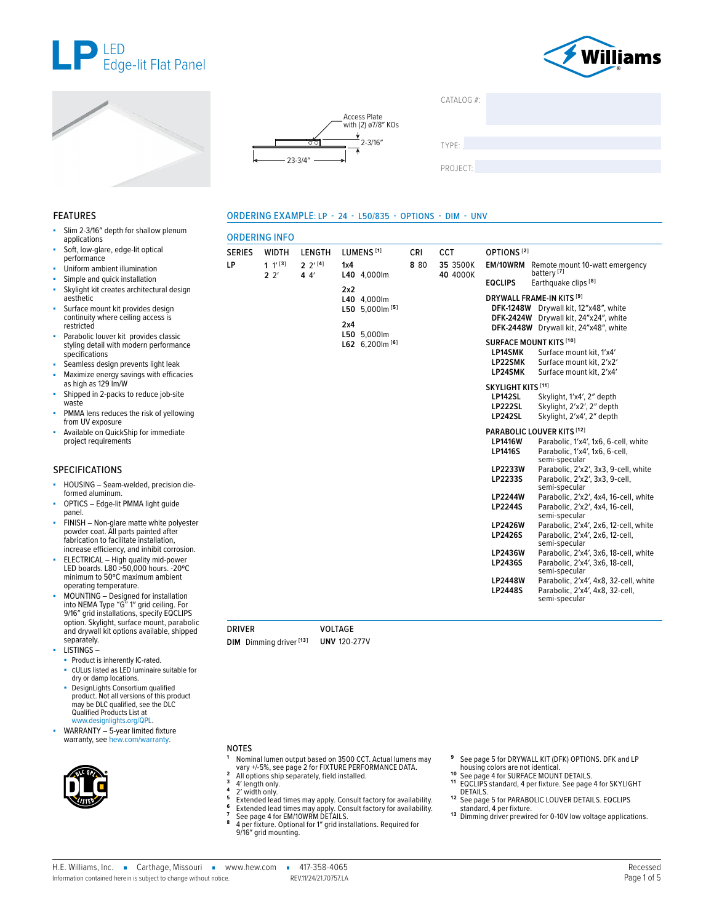







**2** 2′ **[4] 4** 4′

ORDERING INFO

**LP 1** 1′ **[3] 2** 2′

ORDERING EXAMPLE: LP - 24 - L50/835 - OPTIONS - DIM - UNV

SERIES WIDTH LENGTH LUMENS **[1]** CRI CCT OPTIONS **[2]**



TYPE: ����������������������������������������������������

PROJECT:

**8** 80 **35** 3500K

### FEATURES

- Slim 2-3/16" depth for shallow plenum applications
- Soft, low-glare, edge-lit optical performance
- Uniform ambient illumination
- Simple and quick installation
- Skylight kit creates architectural design aesthetic
- Surface mount kit provides design continuity where ceiling access is restricted
- Parabolic louver kit provides classic styling detail with modern performance specifications
- Seamless design prevents light leak
- Maximize energy savings with efficacies as high as 129 lm/W
- Shipped in 2-packs to reduce job-site waste
- PMMA lens reduces the risk of yellowing from UV exposure
- Available on QuickShip for immediate project requirements

#### SPECIFICATIONS

- HOUSING Seam-welded, precision dieformed aluminum.
- OPTICS Edge-lit PMMA light guide panel.
- FINISH Non-glare matte white polyester powder coat. All parts painted after fabrication to facilitate installation, increase efficiency, and inhibit corrosion.
- ELECTRICAL High quality mid-power LED boards. L80 >50,000 hours. -20ºC minimum to 50ºC maximum ambient operating temperature.
- MOUNTING Designed for installation into NEMA Type "G" 1″ grid ceiling. For 9/16″ grid installations, specify EQCLIPS option. Skylight, surface mount, parabolic and drywall kit options available, shipped separately.
- LISTINGS –
- Product is inherently IC-rated.
- cULus listed as LED luminaire suitable for dry or damp locations.
- DesignLights Consortium qualified product. Not all versions of this product may be DLC qualified, see the DLC Qualified Products List at [www.designlights.org/QPL](https://qpl.designlights.org/).
- WARRANTY 5-year limited fixture warranty, see [hew.com/warranty.](https://www.hew.com/resources/warranty-and-terms)



# NOTES

- **<sup>1</sup>** Nominal lumen output based on 3500 CCT. Actual lumens may
- 
- 
- 2 All options ship separately, field installed.<br>
3 4' length only.<br>
4 2' width only.<br>
5 Extended lead times may apply. Consult factory for availability.<br>
5 Extended lead times may apply. Consult factory for availability.<br>
- 
- 9/16″ grid mounting.
- **<sup>9</sup>** [See page 5 for DRYWALL KIT \(DFK\) OPTIONS.](#page-4-0) DFK and LP
- 
- **10** [See page 4 for SURFACE MOUNT DETAILS.](#page-3-1)<br> **10** See page 4 for SURFACE MOUNT DETAILS.<br> **11** EQCLIPS standard, 4 per fixture. See page 4 for SKYLIGHT<br> **DETAILS.**
- 12 See page 5 for PARABOLIC LOUVER [DETAILS.](#page-3-2) EQCLIPS
- standard, 4 per fixture.<br>
<sup>13</sup> Dimming driver prewired for 0-10V low voltage applications.

| 1x4                      | L40 4.000lm                           | 8 80 | 35 3500K<br>40 4000K |                                                                          | <b>EM/10WRM</b> Remote mount 10-watt emergency<br>battery <sup>[7]</sup>                                               |
|--------------------------|---------------------------------------|------|----------------------|--------------------------------------------------------------------------|------------------------------------------------------------------------------------------------------------------------|
|                          |                                       |      |                      | <b>EQCLIPS</b>                                                           | Earthquake clips <sup>[8]</sup>                                                                                        |
| 2x2<br>L40<br>L50<br>2x4 | 4,000lm<br>5.000 $[5]$<br>L50 5,000lm |      |                      | <b>DFK-1248W</b><br><b>DFK-2424W</b><br><b>DFK-2448W</b>                 | DRYWALL FRAME-IN KITS [9]<br>Drywall kit, 12"x48", white<br>Drywall kit, 24"x24", white<br>Drywall kit, 24"x48", white |
|                          | L62 $6.200$ m $[6]$                   |      |                      | <b>SURFACE MOUNT KITS [10]</b><br><b>LP14SMK</b><br>LP22SMK<br>LP24SMK   | Surface mount kit. 1'x4'<br>Surface mount kit. 2'x2'<br>Surface mount kit. 2'x4'                                       |
|                          |                                       |      |                      | <b>SKYLIGHT KITS [11]</b><br>LP142SL<br><b>LP222SL</b><br><b>LP242SL</b> | Skylight, 1'x4', 2" depth<br>Skylight, 2'x2', 2" depth<br>Skylight, 2'x4', 2" depth                                    |
|                          |                                       |      |                      |                                                                          | PARABOLIC LOUVER KITS [12]                                                                                             |
|                          |                                       |      |                      | <b>LP1416W</b><br><b>LP1416S</b>                                         | Parabolic, 1'x4', 1x6, 6-cell, white<br>Parabolic, 1'x4', 1x6, 6-cell,<br>semi-specular                                |
|                          |                                       |      |                      | <b>LP2233W</b><br>LP2233S                                                | Parabolic, 2'x2', 3x3, 9-cell, white<br>Parabolic, 2'x2', 3x3, 9-cell.<br>semi-specular                                |
|                          |                                       |      |                      | <b>LP2244W</b><br><b>LP2244S</b>                                         | Parabolic, 2'x2', 4x4, 16-cell, white<br>Parabolic, 2'x2', 4x4, 16-cell,<br>semi-specular                              |
|                          |                                       |      |                      | <b>LP2426W</b><br><b>LP2426S</b>                                         | Parabolic, 2'x4', 2x6, 12-cell, white<br>Parabolic, 2'x4', 2x6, 12-cell.<br>semi-specular                              |
|                          |                                       |      |                      | <b>LP2436W</b><br>LP2436S                                                | Parabolic, 2'x4', 3x6, 18-cell, white<br>Parabolic, 2'x4', 3x6, 18-cell.<br>semi-specular                              |
|                          |                                       |      |                      | <b>LP2448W</b><br><b>LP2448S</b>                                         | Parabolic, 2'x4', 4x8, 32-cell, white<br>Parabolic, 2'x4', 4x8, 32-cell,<br>semi-specular                              |

DRIVER VOLTAGE **DIM** Dimming driver **[13] UNV** 120-277V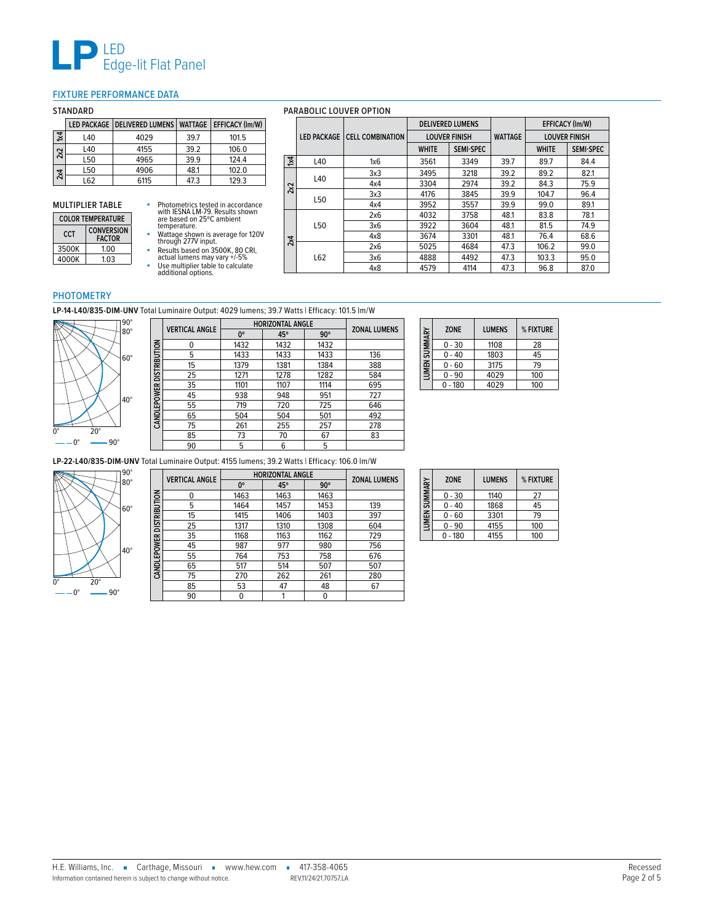

## <span id="page-1-0"></span>FIXTURE PERFORMANCE DATA

|                |     | LED PACKAGE DELIVERED LUMENS WATTAGE EFFICACY (Im/W) |      |       |
|----------------|-----|------------------------------------------------------|------|-------|
| $\overline{1}$ | L40 | 4029                                                 | 39.7 | 101.5 |
| 2x2            | L40 | 4155                                                 | 39.2 | 106.0 |
|                | L50 | 4965                                                 | 39.9 | 124.4 |
| 2x4            | L50 | 4906                                                 | 48.1 | 102.0 |
|                | 162 | 6115                                                 | 47.3 | 129.3 |

 $\Box$ 

# MULTIPLIER TABLE

| <b>COLOR TEMPERATURE</b> |                                    |  |
|--------------------------|------------------------------------|--|
| CCT                      | <b>CONVERSION</b><br><b>FACTOR</b> |  |
| 3500K                    | 1 00                               |  |
| 4000K                    | 103                                |  |

- 
- Photometrics tested in accordance<br>with IESNA LM-79, Results shown<br>are based on 25°C ambient<br>temperature.<br>Wattage shown is average for 120V<br>through 277V input.<br>Facults based on 3500K, 80 CRI,<br>actual lumens may vary +/-5%<br>
	-

#### STANDARD PARABOLIC LOUVER OPTION **LED PACKAGE CELL COMBINATION DELIVERED LUMENS WATTAGE EFFICACY (lm/W) LOUVER FINISH LOUVER FINISH WHITE SEMI-SPEC WHITE SEMI-SPEC 1x4** L40 1x6 3561 3349 39.7 89.7 84.4 **2x2** L40 3x3 <sup>3495</sup> <sup>3218</sup> 39.2 89.2 82.1 4x4 3304 2974 39.2 84.3 75.9 L50 3x3 <sup>4176</sup> <sup>3845</sup> 39.9 104.7 96.4 4x4 | 3952 | 3557 | 39.9 | 99.0 | 89.1 **2x4** L50 2x6 | 4032 | 3758 | 48.1 | 83.8 | 78.1 3x6 3922 3604 48.1 81.5 74.9 4x8 3674 3301 48.1 76.4 68.6 L62 2x6 5025 4684 47.3 106.2 99.0 3x6 4888 4492 47.3 103.3 95.0 4x8 | 4579 | 4114 | 47.3 | 96.8 | 87.0

#### PHOTOMETRY

**LP-14-L40/835-DIM-UNV** Total Luminaire Output: 4029 lumens; 39.7 Watts | Efficacy: 101.5 lm/W



|                          | <b>VERTICAL ANGLE</b> | <b>HORIZONTAL ANGLE</b> |      |            | <b>ZONAL LUMENS</b> |
|--------------------------|-----------------------|-------------------------|------|------------|---------------------|
|                          |                       | 0°                      | 45°  | $90^\circ$ |                     |
|                          | 0                     | 1432                    | 1432 | 1432       |                     |
|                          | 5                     | 1433                    | 1433 | 1433       | 136                 |
| CANDLEPOWER DISTRIBUTION | 15                    | 1379                    | 1381 | 1384       | 388                 |
|                          | 25                    | 1271                    | 1278 | 1282       | 584                 |
|                          | 35                    | 1101                    | 1107 | 1114       | 695                 |
|                          | 45                    | 938                     | 948  | 951        | 727                 |
|                          | 55                    | 719                     | 720  | 725        | 646                 |
|                          | 65                    | 504                     | 504  | 501        | 492                 |
|                          | 75                    | 261                     | 255  | 257        | 278                 |
|                          | 85                    | 73                      | 70   | 67         | 83                  |
|                          | 90                    | 5                       | 6    | 5          |                     |

| LUMEN SUMMARY | <b>ZONE</b> | <b>LUMENS</b> | % FIXTURE |
|---------------|-------------|---------------|-----------|
|               | $0 - 30$    | 1108          | 28        |
|               | $0 - 40$    | 1803          | 45        |
|               | $0 - 60$    | 3175          | 79        |
|               | 0 - 90      | 4029          | 100       |
|               | $0 - 180$   | 4029          | 100       |

**LP-22-L40/835-DIM-UNV** Total Luminaire Output: 4155 lumens; 39.2 Watts | Efficacy: 106.0 lm/W



|                          | <b>VERTICAL ANGLE</b> | <b>HORIZONTAL ANGLE</b> |      |            | <b>ZONAL LUMENS</b> |
|--------------------------|-----------------------|-------------------------|------|------------|---------------------|
|                          |                       | 0°                      | 45°  | $90^\circ$ |                     |
|                          | 0                     | 1463                    | 1463 | 1463       |                     |
| CANDLEPOWER DISTRIBUTION | 5                     | 1464                    | 1457 | 1453       | 139                 |
|                          | 15                    | 1415                    | 1406 | 1403       | 397                 |
|                          | 25                    | 1317                    | 1310 | 1308       | 604                 |
|                          | 35                    | 1168                    | 1163 | 1162       | 729                 |
|                          | 45                    | 987                     | 977  | 980        | 756                 |
|                          | 55                    | 764                     | 753  | 758        | 676                 |
|                          | 65                    | 517                     | 514  | 507        | 507                 |
|                          | 75                    | 270                     | 262  | 261        | 280                 |
|                          | 85                    | 53                      | 47   | 48         | 67                  |
|                          | 90                    | 0                       |      |            |                     |

| LUMEN SUMMARY | <b>ZONE</b> | <b>LUMENS</b> | % FIXTURE |
|---------------|-------------|---------------|-----------|
|               | $0 - 30$    | 1140          | 27        |
|               | 0 - 40      | 1868          | 45        |
|               | $0 - 60$    | 3301          | 79        |
|               | 0 - 90      | 4155          | 100       |
|               | $-180$      | 4155          | 100       |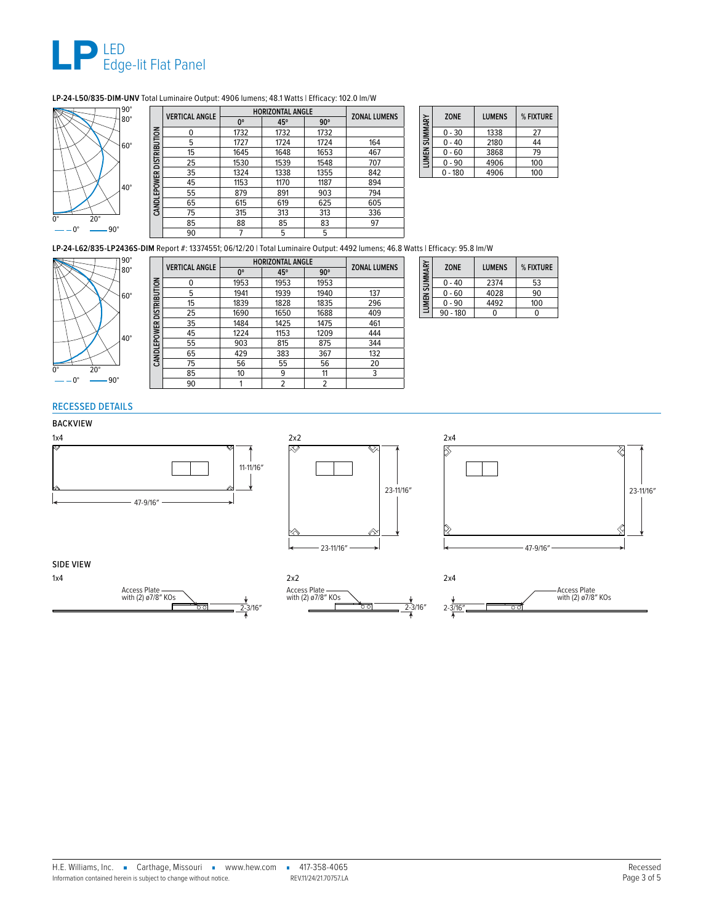

# **LP-24-L50/835-DIM-UNV** Total Luminaire Output: 4906 lumens; 48.1 Watts | Efficacy: 102.0 lm/W



|                           | <b>VERTICAL ANGLE</b> | <b>HORIZONTAL ANGLE</b> |      |            |                     |
|---------------------------|-----------------------|-------------------------|------|------------|---------------------|
|                           |                       | 0°                      | 45°  | $90^\circ$ | <b>ZONAL LUMENS</b> |
|                           | n                     | 1732                    | 1732 | 1732       |                     |
|                           | 5                     | 1727                    | 1724 | 1724       | 164                 |
| CAND LEPOWER DISTRIBUTION | 15                    | 1645                    | 1648 | 1653       | 467                 |
|                           | 25                    | 1530                    | 1539 | 1548       | 707                 |
|                           | 35                    | 1324                    | 1338 | 1355       | 842                 |
|                           | 45                    | 1153                    | 1170 | 1187       | 894                 |
|                           | 55                    | 879                     | 891  | 903        | 794                 |
|                           | 65                    | 615                     | 619  | 625        | 605                 |
|                           | 75                    | 315                     | 313  | 313        | 336                 |
|                           | 85                    | 88                      | 85   | 83         | 97                  |
|                           | 90                    |                         | 5    | 5          |                     |

| SUMMARY | <b>ZONE</b> | <b>LUMENS</b> | % FIXTURE |
|---------|-------------|---------------|-----------|
|         | $0 - 30$    | 1338          | 27        |
|         | $0 - 40$    | 2180          | 44        |
| LUMEN:  | $0 - 60$    | 3868          | 79        |
|         | $0 - 90$    | 4906          | 100       |
|         | $-180$      | 4906          | 100       |

**LP-24-L62/835-LP2436S-DIM** Report #: 13374551; 06/12/20 | Total Luminaire Output: 4492 lumens; 46.8 Watts | Efficacy: 95.8 lm/W



|                                 | <b>VERTICAL ANGLE</b> | <b>HORIZONTAL ANGLE</b> |      |            | <b>ZONAL LUMENS</b> |
|---------------------------------|-----------------------|-------------------------|------|------------|---------------------|
|                                 |                       | $0^{\circ}$             | 45°  | $90^\circ$ |                     |
| <b>CANDLEPOWER DISTRIBUTION</b> | 0                     | 1953                    | 1953 | 1953       |                     |
|                                 | 5                     | 1941                    | 1939 | 1940       | 137                 |
|                                 | 15                    | 1839                    | 1828 | 1835       | 296                 |
|                                 | 25                    | 1690                    | 1650 | 1688       | 409                 |
|                                 | 35                    | 1484                    | 1425 | 1475       | 461                 |
|                                 | 45                    | 1224                    | 1153 | 1209       | 444                 |
|                                 | 55                    | 903                     | 815  | 875        | 344                 |
|                                 | 65                    | 429                     | 383  | 367        | 132                 |
|                                 | 75                    | 56                      | 55   | 56         | 20                  |
|                                 | 85                    | 10                      | 9    | 11         | 3                   |
|                                 | 90                    |                         | 2    | 2          |                     |
|                                 |                       |                         |      |            |                     |

| LUMEN SUMMARY | <b>ZONE</b> | <b>LUMENS</b> | % FIXTURE |
|---------------|-------------|---------------|-----------|
|               | $0 - 40$    | 2374          | 53        |
|               | $0 - 60$    | 4028          | 90        |
|               | $0 - 90$    | 4492          | 100       |
|               | $90 - 180$  |               |           |

# RECESSED DETAILS

# BACKVIEW







### SIDE VIEW





 $2 - \frac{\sqrt{2}}{4}$ Access Plate with (2) ø7/8″ KOs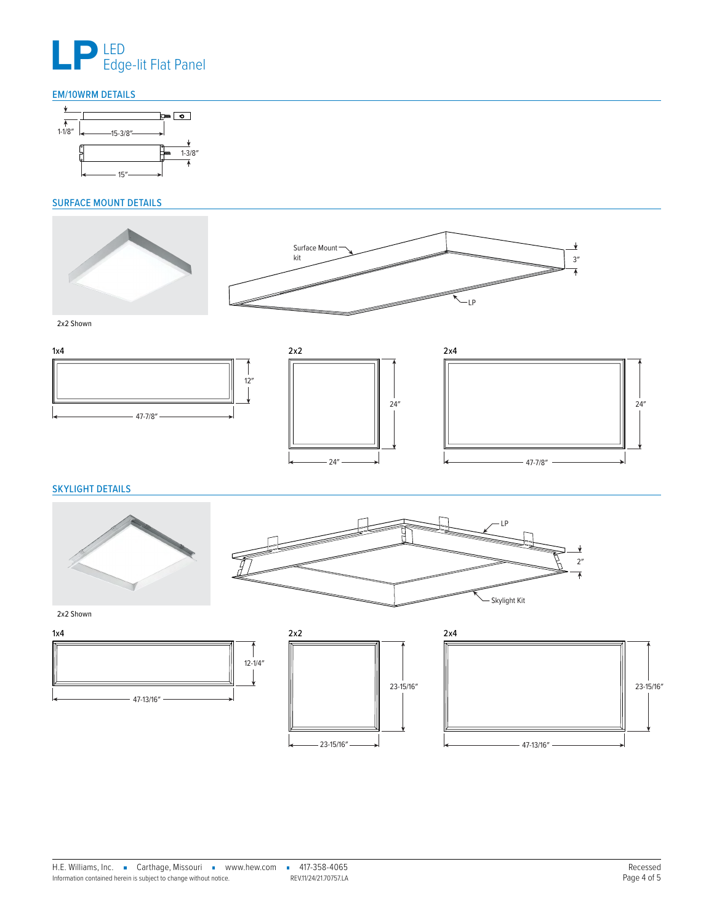

# <span id="page-3-0"></span>EM/10WRM DETAILS



# <span id="page-3-1"></span>SURFACE MOUNT DETAILS



2x2 Shown







<span id="page-3-2"></span>SKYLIGHT DETAILS





2x2 Shown